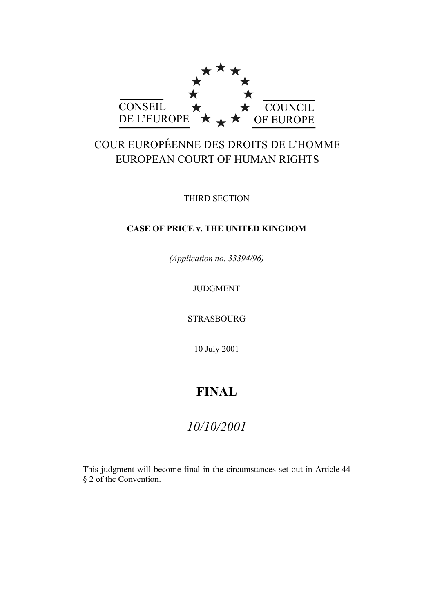

# COUR EUROPÉENNE DES DROITS DE L'HOMME EUROPEAN COURT OF HUMAN RIGHTS

THIRD SECTION

# **CASE OF PRICE v. THE UNITED KINGDOM**

*(Application no. 33394/96)*

JUDGMENT

STRASBOURG

10 July 2001

# **FINAL**

# *10/10/2001*

This judgment will become final in the circumstances set out in Article 44 § 2 of the Convention.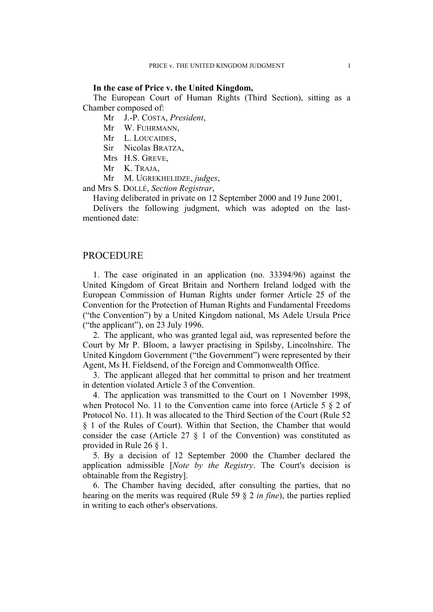#### **In the case of Price v. the United Kingdom,**

The European Court of Human Rights (Third Section), sitting as a Chamber composed of:

Mr J.-P. COSTA, *President*,

- Mr W. FUHRMANN,
- Mr L. LOUCAIDES,
- Sir Nicolas BRATZA,
- Mrs H.S. GREVE,
- Mr K. TRAJA,
- Mr M. UGREKHELIDZE, *judges*,

and Mrs S. DOLLÉ, *Section Registrar*,

Having deliberated in private on 12 September 2000 and 19 June 2001,

Delivers the following judgment, which was adopted on the lastmentioned date:

### PROCEDURE

1. The case originated in an application (no. 33394/96) against the United Kingdom of Great Britain and Northern Ireland lodged with the European Commission of Human Rights under former Article 25 of the Convention for the Protection of Human Rights and Fundamental Freedoms ("the Convention") by a United Kingdom national, Ms Adele Ursula Price ("the applicant"), on 23 July 1996.

2. The applicant, who was granted legal aid, was represented before the Court by Mr P. Bloom, a lawyer practising in Spilsby, Lincolnshire. The United Kingdom Government ("the Government") were represented by their Agent, Ms H. Fieldsend, of the Foreign and Commonwealth Office.

3. The applicant alleged that her committal to prison and her treatment in detention violated Article 3 of the Convention.

4. The application was transmitted to the Court on 1 November 1998, when Protocol No. 11 to the Convention came into force (Article 5  $\S$  2 of Protocol No. 11). It was allocated to the Third Section of the Court (Rule 52 § 1 of the Rules of Court). Within that Section, the Chamber that would consider the case (Article 27  $\S$  1 of the Convention) was constituted as provided in Rule 26 § 1.

5. By a decision of 12 September 2000 the Chamber declared the application admissible [*Note by the Registry*. The Court's decision is obtainable from the Registry].

6. The Chamber having decided, after consulting the parties, that no hearing on the merits was required (Rule 59 § 2 *in fine*), the parties replied in writing to each other's observations.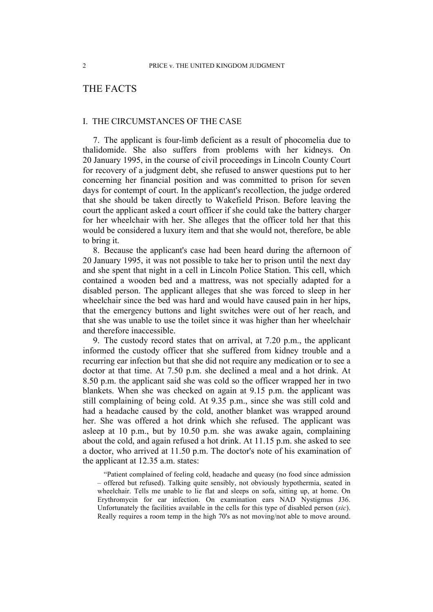# THE FACTS

#### I. THE CIRCUMSTANCES OF THE CASE

7. The applicant is four-limb deficient as a result of phocomelia due to thalidomide. She also suffers from problems with her kidneys. On 20 January 1995, in the course of civil proceedings in Lincoln County Court for recovery of a judgment debt, she refused to answer questions put to her concerning her financial position and was committed to prison for seven days for contempt of court. In the applicant's recollection, the judge ordered that she should be taken directly to Wakefield Prison. Before leaving the court the applicant asked a court officer if she could take the battery charger for her wheelchair with her. She alleges that the officer told her that this would be considered a luxury item and that she would not, therefore, be able to bring it.

8. Because the applicant's case had been heard during the afternoon of 20 January 1995, it was not possible to take her to prison until the next day and she spent that night in a cell in Lincoln Police Station. This cell, which contained a wooden bed and a mattress, was not specially adapted for a disabled person. The applicant alleges that she was forced to sleep in her wheelchair since the bed was hard and would have caused pain in her hips, that the emergency buttons and light switches were out of her reach, and that she was unable to use the toilet since it was higher than her wheelchair and therefore inaccessible.

9. The custody record states that on arrival, at 7.20 p.m., the applicant informed the custody officer that she suffered from kidney trouble and a recurring ear infection but that she did not require any medication or to see a doctor at that time. At 7.50 p.m. she declined a meal and a hot drink. At 8.50 p.m. the applicant said she was cold so the officer wrapped her in two blankets. When she was checked on again at 9.15 p.m. the applicant was still complaining of being cold. At 9.35 p.m., since she was still cold and had a headache caused by the cold, another blanket was wrapped around her. She was offered a hot drink which she refused. The applicant was asleep at 10 p.m., but by 10.50 p.m. she was awake again, complaining about the cold, and again refused a hot drink. At 11.15 p.m. she asked to see a doctor, who arrived at 11.50 p.m. The doctor's note of his examination of the applicant at 12.35 a.m. states:

"Patient complained of feeling cold, headache and queasy (no food since admission – offered but refused). Talking quite sensibly, not obviously hypothermia, seated in wheelchair. Tells me unable to lie flat and sleeps on sofa, sitting up, at home. On Erythromycin for ear infection. On examination ears NAD Nystigmus J36. Unfortunately the facilities available in the cells for this type of disabled person (*sic*). Really requires a room temp in the high 70's as not moving/not able to move around.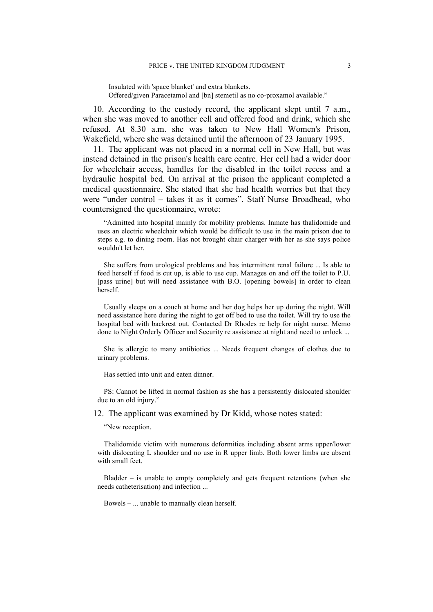Insulated with 'space blanket' and extra blankets. Offered/given Paracetamol and [bn] stemetil as no co-proxamol available."

10. According to the custody record, the applicant slept until 7 a.m., when she was moved to another cell and offered food and drink, which she refused. At 8.30 a.m. she was taken to New Hall Women's Prison, Wakefield, where she was detained until the afternoon of 23 January 1995.

11. The applicant was not placed in a normal cell in New Hall, but was instead detained in the prison's health care centre. Her cell had a wider door for wheelchair access, handles for the disabled in the toilet recess and a hydraulic hospital bed. On arrival at the prison the applicant completed a medical questionnaire. She stated that she had health worries but that they were "under control – takes it as it comes". Staff Nurse Broadhead, who countersigned the questionnaire, wrote:

"Admitted into hospital mainly for mobility problems. Inmate has thalidomide and uses an electric wheelchair which would be difficult to use in the main prison due to steps e.g. to dining room. Has not brought chair charger with her as she says police wouldn't let her.

She suffers from urological problems and has intermittent renal failure ... Is able to feed herself if food is cut up, is able to use cup. Manages on and off the toilet to P.U. [pass urine] but will need assistance with B.O. [opening bowels] in order to clean herself.

Usually sleeps on a couch at home and her dog helps her up during the night. Will need assistance here during the night to get off bed to use the toilet. Will try to use the hospital bed with backrest out. Contacted Dr Rhodes re help for night nurse. Memo done to Night Orderly Officer and Security re assistance at night and need to unlock ...

She is allergic to many antibiotics ... Needs frequent changes of clothes due to urinary problems.

Has settled into unit and eaten dinner.

PS: Cannot be lifted in normal fashion as she has a persistently dislocated shoulder due to an old injury."

12. The applicant was examined by Dr Kidd, whose notes stated:

"New reception.

Thalidomide victim with numerous deformities including absent arms upper/lower with dislocating L shoulder and no use in R upper limb. Both lower limbs are absent with small feet.

Bladder – is unable to empty completely and gets frequent retentions (when she needs catheterisation) and infection ...

Bowels – ... unable to manually clean herself.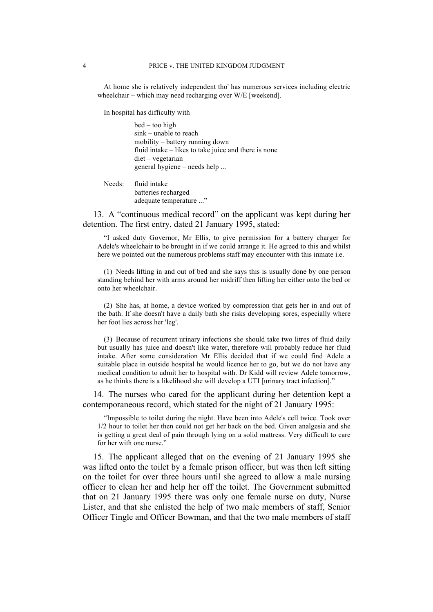At home she is relatively independent tho' has numerous services including electric wheelchair – which may need recharging over W/E [weekend].

In hospital has difficulty with

bed – too high sink – unable to reach mobility – battery running down fluid intake – likes to take juice and there is none diet – vegetarian general hygiene – needs help ...

Needs: fluid intake batteries recharged adequate temperature ..."

13. A "continuous medical record" on the applicant was kept during her detention. The first entry, dated 21 January 1995, stated:

"I asked duty Governor, Mr Ellis, to give permission for a battery charger for Adele's wheelchair to be brought in if we could arrange it. He agreed to this and whilst here we pointed out the numerous problems staff may encounter with this inmate i.e.

(1) Needs lifting in and out of bed and she says this is usually done by one person standing behind her with arms around her midriff then lifting her either onto the bed or onto her wheelchair.

(2) She has, at home, a device worked by compression that gets her in and out of the bath. If she doesn't have a daily bath she risks developing sores, especially where her foot lies across her 'leg'.

(3) Because of recurrent urinary infections she should take two litres of fluid daily but usually has juice and doesn't like water, therefore will probably reduce her fluid intake. After some consideration Mr Ellis decided that if we could find Adele a suitable place in outside hospital he would licence her to go, but we do not have any medical condition to admit her to hospital with. Dr Kidd will review Adele tomorrow, as he thinks there is a likelihood she will develop a UTI [urinary tract infection]."

14. The nurses who cared for the applicant during her detention kept a contemporaneous record, which stated for the night of 21 January 1995:

"Impossible to toilet during the night. Have been into Adele's cell twice. Took over 1/2 hour to toilet her then could not get her back on the bed. Given analgesia and she is getting a great deal of pain through lying on a solid mattress. Very difficult to care for her with one nurse."

15. The applicant alleged that on the evening of 21 January 1995 she was lifted onto the toilet by a female prison officer, but was then left sitting on the toilet for over three hours until she agreed to allow a male nursing officer to clean her and help her off the toilet. The Government submitted that on 21 January 1995 there was only one female nurse on duty, Nurse Lister, and that she enlisted the help of two male members of staff, Senior Officer Tingle and Officer Bowman, and that the two male members of staff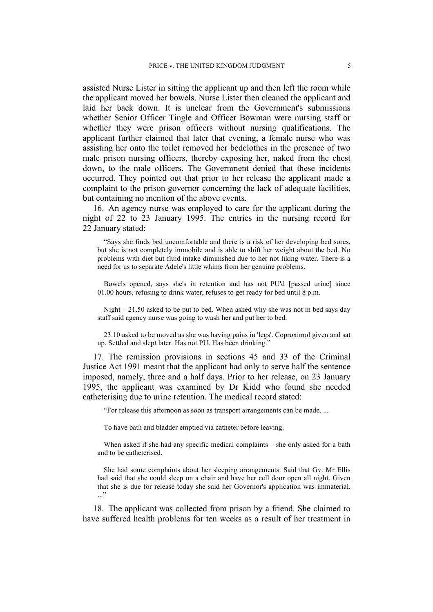assisted Nurse Lister in sitting the applicant up and then left the room while the applicant moved her bowels. Nurse Lister then cleaned the applicant and laid her back down. It is unclear from the Government's submissions whether Senior Officer Tingle and Officer Bowman were nursing staff or whether they were prison officers without nursing qualifications. The applicant further claimed that later that evening, a female nurse who was assisting her onto the toilet removed her bedclothes in the presence of two male prison nursing officers, thereby exposing her, naked from the chest down, to the male officers. The Government denied that these incidents occurred. They pointed out that prior to her release the applicant made a complaint to the prison governor concerning the lack of adequate facilities, but containing no mention of the above events.

16. An agency nurse was employed to care for the applicant during the night of 22 to 23 January 1995. The entries in the nursing record for 22 January stated:

"Says she finds bed uncomfortable and there is a risk of her developing bed sores, but she is not completely immobile and is able to shift her weight about the bed. No problems with diet but fluid intake diminished due to her not liking water. There is a need for us to separate Adele's little whims from her genuine problems.

Bowels opened, says she's in retention and has not PU'd [passed urine] since 01.00 hours, refusing to drink water, refuses to get ready for bed until 8 p.m.

Night – 21.50 asked to be put to bed. When asked why she was not in bed says day staff said agency nurse was going to wash her and put her to bed.

23.10 asked to be moved as she was having pains in 'legs'. Coproximol given and sat up. Settled and slept later. Has not PU. Has been drinking."

17. The remission provisions in sections 45 and 33 of the Criminal Justice Act 1991 meant that the applicant had only to serve half the sentence imposed, namely, three and a half days. Prior to her release, on 23 January 1995, the applicant was examined by Dr Kidd who found she needed catheterising due to urine retention. The medical record stated:

"For release this afternoon as soon as transport arrangements can be made. ...

To have bath and bladder emptied via catheter before leaving.

When asked if she had any specific medical complaints – she only asked for a bath and to be catheterised.

She had some complaints about her sleeping arrangements. Said that Gv. Mr Ellis had said that she could sleep on a chair and have her cell door open all night. Given that she is due for release today she said her Governor's application was immaterial. ..."

18. The applicant was collected from prison by a friend. She claimed to have suffered health problems for ten weeks as a result of her treatment in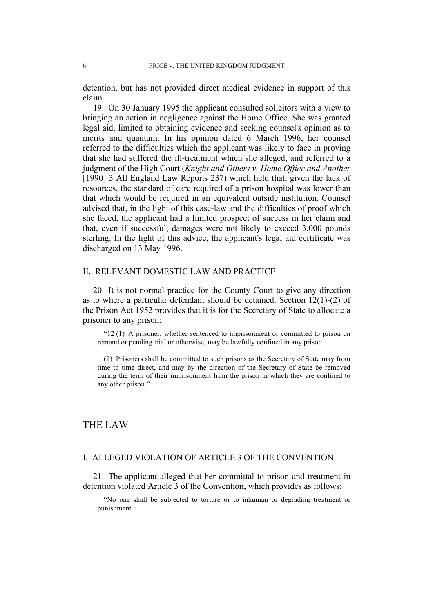detention, but has not provided direct medical evidence in support of this claim.

19. On 30 January 1995 the applicant consulted solicitors with a view to bringing an action in negligence against the Home Office. She was granted legal aid, limited to obtaining evidence and seeking counsel's opinion as to merits and quantum. In his opinion dated 6 March 1996, her counsel referred to the difficulties which the applicant was likely to face in proving that she had suffered the ill-treatment which she alleged, and referred to a judgment of the High Court (*Knight and Others v. Home Office and Another* [1990] 3 All England Law Reports 237) which held that, given the lack of resources, the standard of care required of a prison hospital was lower than that which would be required in an equivalent outside institution. Counsel advised that, in the light of this case-law and the difficulties of proof which she faced, the applicant had a limited prospect of success in her claim and that, even if successful, damages were not likely to exceed 3,000 pounds sterling. In the light of this advice, the applicant's legal aid certificate was discharged on 13 May 1996.

#### II. RELEVANT DOMESTIC LAW AND PRACTICE

20. It is not normal practice for the County Court to give any direction as to where a particular defendant should be detained. Section 12(1)-(2) of the Prison Act 1952 provides that it is for the Secretary of State to allocate a prisoner to any prison:

"12 (1) A prisoner, whether sentenced to imprisonment or committed to prison on remand or pending trial or otherwise, may be lawfully confined in any prison.

(2) Prisoners shall be committed to such prisons as the Secretary of State may from time to time direct, and may by the direction of the Secretary of State be removed during the term of their imprisonment from the prison in which they are confined to any other prison."

# THE LAW

### I. ALLEGED VIOLATION OF ARTICLE 3 OF THE CONVENTION

21. The applicant alleged that her committal to prison and treatment in detention violated Article 3 of the Convention, which provides as follows:

"No one shall be subjected to torture or to inhuman or degrading treatment or punishment."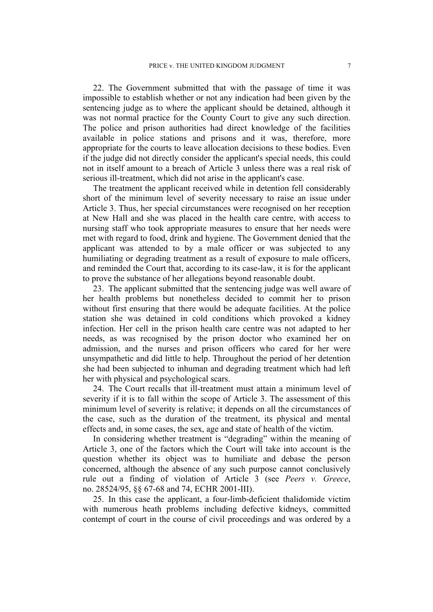22. The Government submitted that with the passage of time it was impossible to establish whether or not any indication had been given by the sentencing judge as to where the applicant should be detained, although it was not normal practice for the County Court to give any such direction. The police and prison authorities had direct knowledge of the facilities available in police stations and prisons and it was, therefore, more appropriate for the courts to leave allocation decisions to these bodies. Even if the judge did not directly consider the applicant's special needs, this could not in itself amount to a breach of Article 3 unless there was a real risk of serious ill-treatment, which did not arise in the applicant's case.

The treatment the applicant received while in detention fell considerably short of the minimum level of severity necessary to raise an issue under Article 3. Thus, her special circumstances were recognised on her reception at New Hall and she was placed in the health care centre, with access to nursing staff who took appropriate measures to ensure that her needs were met with regard to food, drink and hygiene. The Government denied that the applicant was attended to by a male officer or was subjected to any humiliating or degrading treatment as a result of exposure to male officers, and reminded the Court that, according to its case-law, it is for the applicant to prove the substance of her allegations beyond reasonable doubt.

23. The applicant submitted that the sentencing judge was well aware of her health problems but nonetheless decided to commit her to prison without first ensuring that there would be adequate facilities. At the police station she was detained in cold conditions which provoked a kidney infection. Her cell in the prison health care centre was not adapted to her needs, as was recognised by the prison doctor who examined her on admission, and the nurses and prison officers who cared for her were unsympathetic and did little to help. Throughout the period of her detention she had been subjected to inhuman and degrading treatment which had left her with physical and psychological scars.

24. The Court recalls that ill-treatment must attain a minimum level of severity if it is to fall within the scope of Article 3. The assessment of this minimum level of severity is relative; it depends on all the circumstances of the case, such as the duration of the treatment, its physical and mental effects and, in some cases, the sex, age and state of health of the victim.

In considering whether treatment is "degrading" within the meaning of Article 3, one of the factors which the Court will take into account is the question whether its object was to humiliate and debase the person concerned, although the absence of any such purpose cannot conclusively rule out a finding of violation of Article 3 (see *Peers v. Greece*, no. 28524/95, §§ 67-68 and 74, ECHR 2001-III).

25. In this case the applicant, a four-limb-deficient thalidomide victim with numerous heath problems including defective kidneys, committed contempt of court in the course of civil proceedings and was ordered by a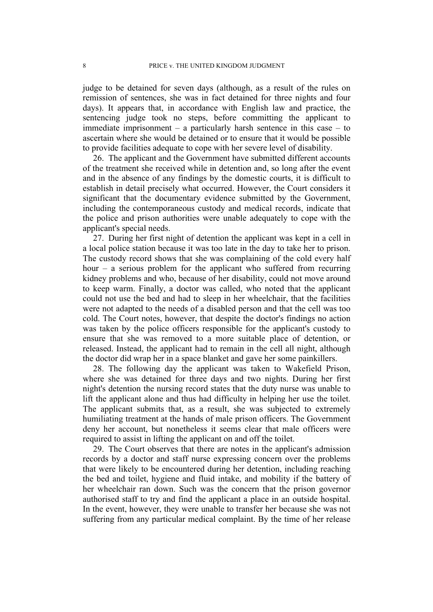judge to be detained for seven days (although, as a result of the rules on remission of sentences, she was in fact detained for three nights and four days). It appears that, in accordance with English law and practice, the sentencing judge took no steps, before committing the applicant to immediate imprisonment – a particularly harsh sentence in this case – to ascertain where she would be detained or to ensure that it would be possible to provide facilities adequate to cope with her severe level of disability.

26. The applicant and the Government have submitted different accounts of the treatment she received while in detention and, so long after the event and in the absence of any findings by the domestic courts, it is difficult to establish in detail precisely what occurred. However, the Court considers it significant that the documentary evidence submitted by the Government, including the contemporaneous custody and medical records, indicate that the police and prison authorities were unable adequately to cope with the applicant's special needs.

27. During her first night of detention the applicant was kept in a cell in a local police station because it was too late in the day to take her to prison. The custody record shows that she was complaining of the cold every half hour – a serious problem for the applicant who suffered from recurring kidney problems and who, because of her disability, could not move around to keep warm. Finally, a doctor was called, who noted that the applicant could not use the bed and had to sleep in her wheelchair, that the facilities were not adapted to the needs of a disabled person and that the cell was too cold. The Court notes, however, that despite the doctor's findings no action was taken by the police officers responsible for the applicant's custody to ensure that she was removed to a more suitable place of detention, or released. Instead, the applicant had to remain in the cell all night, although the doctor did wrap her in a space blanket and gave her some painkillers.

28. The following day the applicant was taken to Wakefield Prison, where she was detained for three days and two nights. During her first night's detention the nursing record states that the duty nurse was unable to lift the applicant alone and thus had difficulty in helping her use the toilet. The applicant submits that, as a result, she was subjected to extremely humiliating treatment at the hands of male prison officers. The Government deny her account, but nonetheless it seems clear that male officers were required to assist in lifting the applicant on and off the toilet.

29. The Court observes that there are notes in the applicant's admission records by a doctor and staff nurse expressing concern over the problems that were likely to be encountered during her detention, including reaching the bed and toilet, hygiene and fluid intake, and mobility if the battery of her wheelchair ran down. Such was the concern that the prison governor authorised staff to try and find the applicant a place in an outside hospital. In the event, however, they were unable to transfer her because she was not suffering from any particular medical complaint. By the time of her release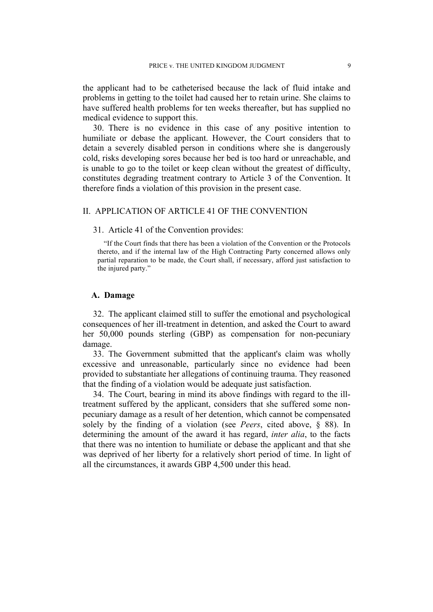the applicant had to be catheterised because the lack of fluid intake and problems in getting to the toilet had caused her to retain urine. She claims to have suffered health problems for ten weeks thereafter, but has supplied no medical evidence to support this.

30. There is no evidence in this case of any positive intention to humiliate or debase the applicant. However, the Court considers that to detain a severely disabled person in conditions where she is dangerously cold, risks developing sores because her bed is too hard or unreachable, and is unable to go to the toilet or keep clean without the greatest of difficulty, constitutes degrading treatment contrary to Article 3 of the Convention. It therefore finds a violation of this provision in the present case.

## II. APPLICATION OF ARTICLE 41 OF THE CONVENTION

#### 31. Article 41 of the Convention provides:

"If the Court finds that there has been a violation of the Convention or the Protocols thereto, and if the internal law of the High Contracting Party concerned allows only partial reparation to be made, the Court shall, if necessary, afford just satisfaction to the injured party."

#### **A. Damage**

32. The applicant claimed still to suffer the emotional and psychological consequences of her ill-treatment in detention, and asked the Court to award her 50,000 pounds sterling (GBP) as compensation for non-pecuniary damage.

33. The Government submitted that the applicant's claim was wholly excessive and unreasonable, particularly since no evidence had been provided to substantiate her allegations of continuing trauma. They reasoned that the finding of a violation would be adequate just satisfaction.

34. The Court, bearing in mind its above findings with regard to the illtreatment suffered by the applicant, considers that she suffered some nonpecuniary damage as a result of her detention, which cannot be compensated solely by the finding of a violation (see *Peers*, cited above, § 88). In determining the amount of the award it has regard, *inter alia*, to the facts that there was no intention to humiliate or debase the applicant and that she was deprived of her liberty for a relatively short period of time. In light of all the circumstances, it awards GBP 4,500 under this head.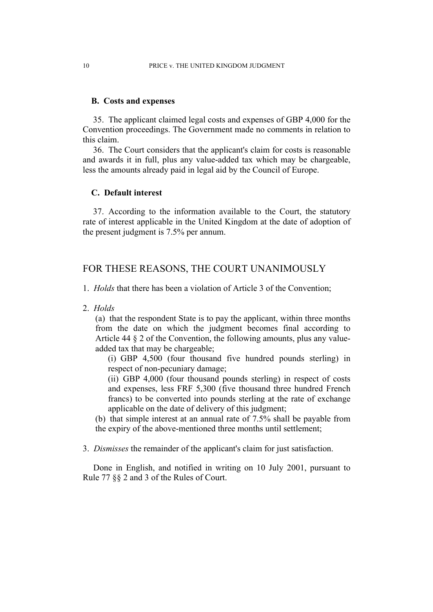#### **B. Costs and expenses**

35. The applicant claimed legal costs and expenses of GBP 4,000 for the Convention proceedings. The Government made no comments in relation to this claim.

36. The Court considers that the applicant's claim for costs is reasonable and awards it in full, plus any value-added tax which may be chargeable, less the amounts already paid in legal aid by the Council of Europe.

#### **C. Default interest**

37. According to the information available to the Court, the statutory rate of interest applicable in the United Kingdom at the date of adoption of the present judgment is 7.5% per annum.

## FOR THESE REASONS, THE COURT UNANIMOUSLY

1. *Holds* that there has been a violation of Article 3 of the Convention;

2. *Holds*

(a) that the respondent State is to pay the applicant, within three months from the date on which the judgment becomes final according to Article 44 § 2 of the Convention, the following amounts, plus any valueadded tax that may be chargeable;

(i) GBP 4,500 (four thousand five hundred pounds sterling) in respect of non-pecuniary damage;

(ii) GBP 4,000 (four thousand pounds sterling) in respect of costs and expenses, less FRF 5,300 (five thousand three hundred French francs) to be converted into pounds sterling at the rate of exchange applicable on the date of delivery of this judgment;

(b) that simple interest at an annual rate of 7.5% shall be payable from the expiry of the above-mentioned three months until settlement;

3. *Dismisses* the remainder of the applicant's claim for just satisfaction.

Done in English, and notified in writing on 10 July 2001, pursuant to Rule 77 §§ 2 and 3 of the Rules of Court.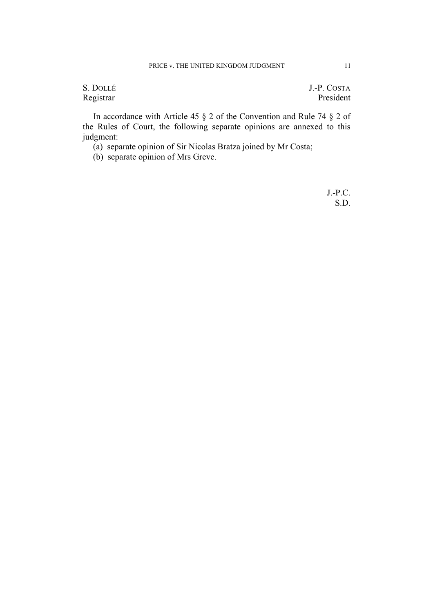S. DOLLÉ J.-P. COSTA Registrar President

In accordance with Article 45 § 2 of the Convention and Rule 74 § 2 of the Rules of Court, the following separate opinions are annexed to this judgment:

(a) separate opinion of Sir Nicolas Bratza joined by Mr Costa;

(b) separate opinion of Mrs Greve.

J.-P.C. S.D.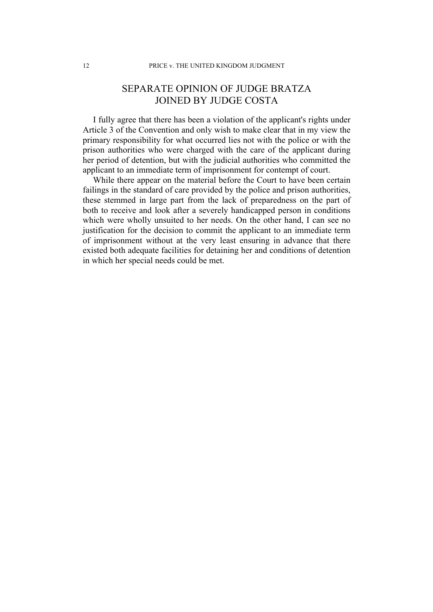# SEPARATE OPINION OF JUDGE BRATZA JOINED BY JUDGE COSTA

I fully agree that there has been a violation of the applicant's rights under Article 3 of the Convention and only wish to make clear that in my view the primary responsibility for what occurred lies not with the police or with the prison authorities who were charged with the care of the applicant during her period of detention, but with the judicial authorities who committed the applicant to an immediate term of imprisonment for contempt of court.

While there appear on the material before the Court to have been certain failings in the standard of care provided by the police and prison authorities, these stemmed in large part from the lack of preparedness on the part of both to receive and look after a severely handicapped person in conditions which were wholly unsuited to her needs. On the other hand, I can see no justification for the decision to commit the applicant to an immediate term of imprisonment without at the very least ensuring in advance that there existed both adequate facilities for detaining her and conditions of detention in which her special needs could be met.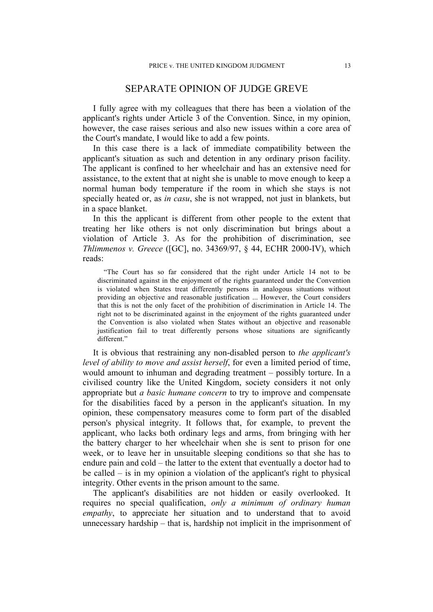## SEPARATE OPINION OF JUDGE GREVE

I fully agree with my colleagues that there has been a violation of the applicant's rights under Article 3 of the Convention. Since, in my opinion, however, the case raises serious and also new issues within a core area of the Court's mandate, I would like to add a few points.

In this case there is a lack of immediate compatibility between the applicant's situation as such and detention in any ordinary prison facility. The applicant is confined to her wheelchair and has an extensive need for assistance, to the extent that at night she is unable to move enough to keep a normal human body temperature if the room in which she stays is not specially heated or, as *in casu*, she is not wrapped, not just in blankets, but in a space blanket.

In this the applicant is different from other people to the extent that treating her like others is not only discrimination but brings about a violation of Article 3. As for the prohibition of discrimination, see *Thlimmenos v. Greece* ([GC], no. 34369/97, § 44, ECHR 2000-IV), which reads:

"The Court has so far considered that the right under Article 14 not to be discriminated against in the enjoyment of the rights guaranteed under the Convention is violated when States treat differently persons in analogous situations without providing an objective and reasonable justification ... However, the Court considers that this is not the only facet of the prohibition of discrimination in Article 14. The right not to be discriminated against in the enjoyment of the rights guaranteed under the Convention is also violated when States without an objective and reasonable justification fail to treat differently persons whose situations are significantly different."

It is obvious that restraining any non-disabled person to *the applicant's level of ability to move and assist herself*, for even a limited period of time, would amount to inhuman and degrading treatment – possibly torture. In a civilised country like the United Kingdom, society considers it not only appropriate but *a basic humane concern* to try to improve and compensate for the disabilities faced by a person in the applicant's situation. In my opinion, these compensatory measures come to form part of the disabled person's physical integrity. It follows that, for example, to prevent the applicant, who lacks both ordinary legs and arms, from bringing with her the battery charger to her wheelchair when she is sent to prison for one week, or to leave her in unsuitable sleeping conditions so that she has to endure pain and cold – the latter to the extent that eventually a doctor had to be called – is in my opinion a violation of the applicant's right to physical integrity. Other events in the prison amount to the same.

The applicant's disabilities are not hidden or easily overlooked. It requires no special qualification, *only a minimum of ordinary human empathy*, to appreciate her situation and to understand that to avoid unnecessary hardship – that is, hardship not implicit in the imprisonment of